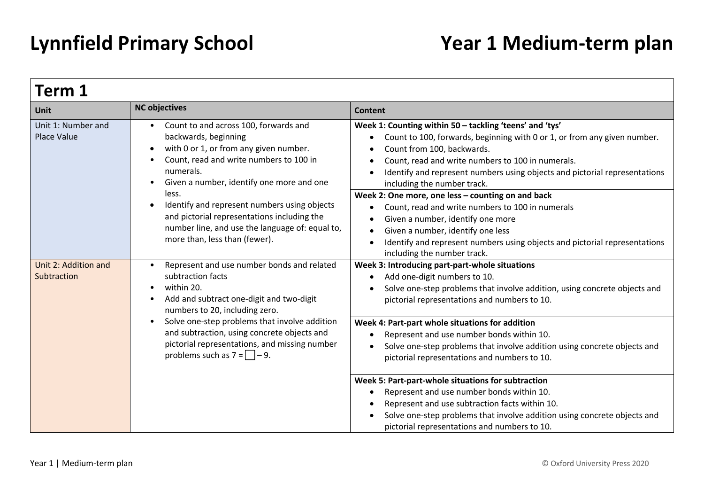| Term 1                                                                                                                                                                                                                                                         |                                                                                                                                                                                                                                                                                                                                                                            |                                                                                                                                                                                                                                                                                                                                                                                                                                                                                |  |
|----------------------------------------------------------------------------------------------------------------------------------------------------------------------------------------------------------------------------------------------------------------|----------------------------------------------------------------------------------------------------------------------------------------------------------------------------------------------------------------------------------------------------------------------------------------------------------------------------------------------------------------------------|--------------------------------------------------------------------------------------------------------------------------------------------------------------------------------------------------------------------------------------------------------------------------------------------------------------------------------------------------------------------------------------------------------------------------------------------------------------------------------|--|
| <b>Unit</b>                                                                                                                                                                                                                                                    | <b>NC objectives</b>                                                                                                                                                                                                                                                                                                                                                       | <b>Content</b>                                                                                                                                                                                                                                                                                                                                                                                                                                                                 |  |
| Unit 1: Number and<br>Count to and across 100, forwards and<br>backwards, beginning<br>Place Value<br>with 0 or 1, or from any given number.<br>$\bullet$<br>Count, read and write numbers to 100 in<br>numerals.<br>Given a number, identify one more and one | Week 1: Counting within 50 - tackling 'teens' and 'tys'<br>Count to 100, forwards, beginning with 0 or 1, or from any given number.<br>$\bullet$<br>Count from 100, backwards.<br>$\bullet$<br>Count, read and write numbers to 100 in numerals.<br>Identify and represent numbers using objects and pictorial representations<br>$\bullet$<br>including the number track. |                                                                                                                                                                                                                                                                                                                                                                                                                                                                                |  |
|                                                                                                                                                                                                                                                                | less.<br>Identify and represent numbers using objects<br>and pictorial representations including the<br>number line, and use the language of: equal to,<br>more than, less than (fewer).                                                                                                                                                                                   | Week 2: One more, one less - counting on and back<br>Count, read and write numbers to 100 in numerals<br>Given a number, identify one more<br>$\bullet$<br>Given a number, identify one less<br>$\bullet$<br>Identify and represent numbers using objects and pictorial representations<br>$\bullet$<br>including the number track.                                                                                                                                            |  |
| Unit 2: Addition and<br>Subtraction                                                                                                                                                                                                                            | Represent and use number bonds and related<br>$\bullet$<br>subtraction facts<br>within 20.<br>Add and subtract one-digit and two-digit<br>numbers to 20, including zero.                                                                                                                                                                                                   | Week 3: Introducing part-part-whole situations<br>Add one-digit numbers to 10.<br>$\bullet$<br>Solve one-step problems that involve addition, using concrete objects and<br>$\bullet$<br>pictorial representations and numbers to 10.<br>Week 4: Part-part whole situations for addition<br>Represent and use number bonds within 10.<br>Solve one-step problems that involve addition using concrete objects and<br>$\bullet$<br>pictorial representations and numbers to 10. |  |
|                                                                                                                                                                                                                                                                | Solve one-step problems that involve addition<br>$\bullet$<br>and subtraction, using concrete objects and<br>pictorial representations, and missing number<br>problems such as $7 = \square - 9$ .                                                                                                                                                                         |                                                                                                                                                                                                                                                                                                                                                                                                                                                                                |  |
|                                                                                                                                                                                                                                                                |                                                                                                                                                                                                                                                                                                                                                                            | Week 5: Part-part-whole situations for subtraction<br>Represent and use number bonds within 10.<br>٠<br>Represent and use subtraction facts within 10.<br>Solve one-step problems that involve addition using concrete objects and<br>pictorial representations and numbers to 10.                                                                                                                                                                                             |  |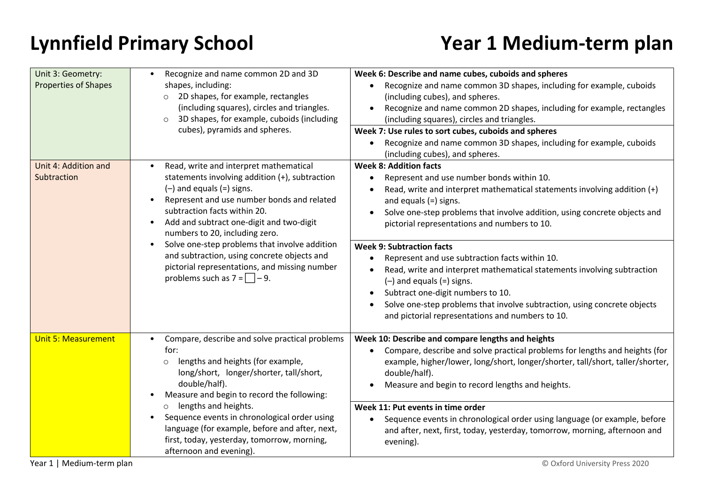| Unit 3: Geometry:<br><b>Properties of Shapes</b> | Recognize and name common 2D and 3D<br>$\bullet$<br>shapes, including:<br>o 2D shapes, for example, rectangles<br>(including squares), circles and triangles.<br>3D shapes, for example, cuboids (including<br>$\circ$<br>cubes), pyramids and spheres.                                                         | Week 6: Describe and name cubes, cuboids and spheres<br>Recognize and name common 3D shapes, including for example, cuboids<br>(including cubes), and spheres.<br>Recognize and name common 2D shapes, including for example, rectangles<br>(including squares), circles and triangles.<br>Week 7: Use rules to sort cubes, cuboids and spheres<br>Recognize and name common 3D shapes, including for example, cuboids<br>(including cubes), and spheres. |
|--------------------------------------------------|-----------------------------------------------------------------------------------------------------------------------------------------------------------------------------------------------------------------------------------------------------------------------------------------------------------------|-----------------------------------------------------------------------------------------------------------------------------------------------------------------------------------------------------------------------------------------------------------------------------------------------------------------------------------------------------------------------------------------------------------------------------------------------------------|
| Unit 4: Addition and<br>Subtraction              | Read, write and interpret mathematical<br>statements involving addition (+), subtraction<br>$(-)$ and equals $(=)$ signs.<br>Represent and use number bonds and related<br>$\bullet$<br>subtraction facts within 20.<br>Add and subtract one-digit and two-digit<br>$\bullet$<br>numbers to 20, including zero. | <b>Week 8: Addition facts</b><br>Represent and use number bonds within 10.<br>Read, write and interpret mathematical statements involving addition (+)<br>and equals $(=)$ signs.<br>Solve one-step problems that involve addition, using concrete objects and<br>$\bullet$<br>pictorial representations and numbers to 10.                                                                                                                               |
|                                                  | Solve one-step problems that involve addition<br>$\bullet$<br>and subtraction, using concrete objects and<br>pictorial representations, and missing number<br>problems such as $7 = \square - 9$ .                                                                                                              | <b>Week 9: Subtraction facts</b><br>Represent and use subtraction facts within 10.<br>Read, write and interpret mathematical statements involving subtraction<br>$(-)$ and equals $(=)$ signs.<br>Subtract one-digit numbers to 10.<br>Solve one-step problems that involve subtraction, using concrete objects<br>and pictorial representations and numbers to 10.                                                                                       |
| <b>Unit 5: Measurement</b>                       | Compare, describe and solve practical problems<br>for:<br>lengths and heights (for example,<br>$\circ$<br>long/short, longer/shorter, tall/short,<br>double/half).<br>Measure and begin to record the following:<br>٠                                                                                           | Week 10: Describe and compare lengths and heights<br>Compare, describe and solve practical problems for lengths and heights (for<br>example, higher/lower, long/short, longer/shorter, tall/short, taller/shorter,<br>double/half).<br>Measure and begin to record lengths and heights.                                                                                                                                                                   |
|                                                  | o lengths and heights.<br>Sequence events in chronological order using<br>$\bullet$<br>language (for example, before and after, next,<br>first, today, yesterday, tomorrow, morning,<br>afternoon and evening).                                                                                                 | Week 11: Put events in time order<br>Sequence events in chronological order using language (or example, before<br>and after, next, first, today, yesterday, tomorrow, morning, afternoon and<br>evening).                                                                                                                                                                                                                                                 |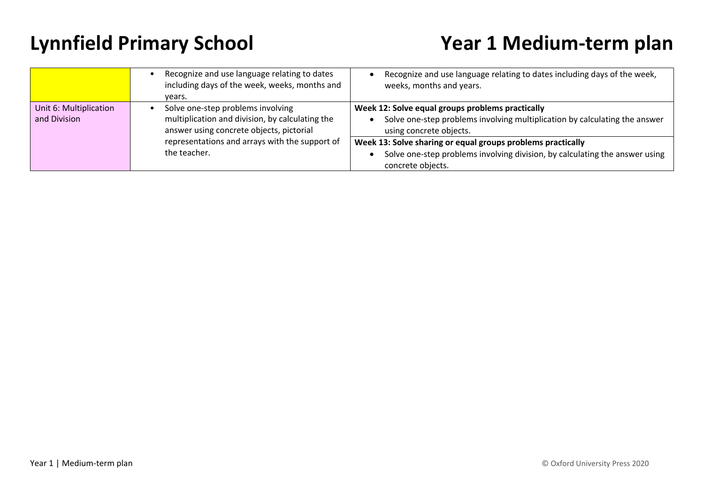|                                        | Recognize and use language relating to dates<br>including days of the week, weeks, months and<br>vears.                          | Recognize and use language relating to dates including days of the week,<br>weeks, months and years.                                                            |
|----------------------------------------|----------------------------------------------------------------------------------------------------------------------------------|-----------------------------------------------------------------------------------------------------------------------------------------------------------------|
| Unit 6: Multiplication<br>and Division | Solve one-step problems involving<br>multiplication and division, by calculating the<br>answer using concrete objects, pictorial | Week 12: Solve equal groups problems practically<br>Solve one-step problems involving multiplication by calculating the answer<br>using concrete objects.       |
|                                        | representations and arrays with the support of<br>the teacher.                                                                   | Week 13: Solve sharing or equal groups problems practically<br>Solve one-step problems involving division, by calculating the answer using<br>concrete objects. |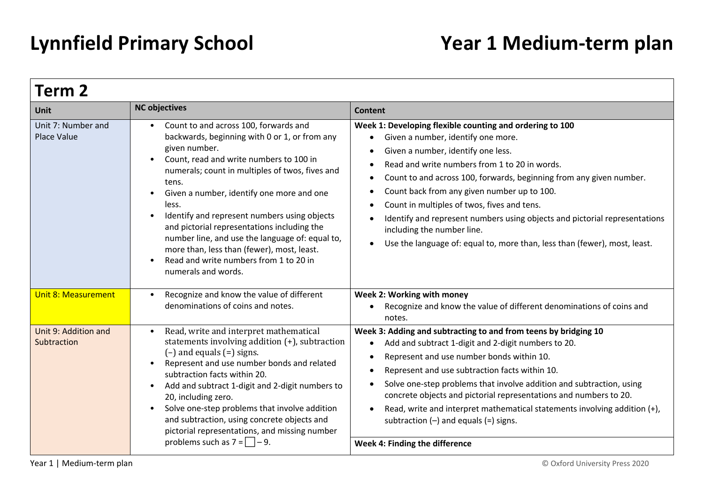| Term <sub>2</sub>                        |                                                                                                                                                                                                                                                                                                                                                                                                                                                                                                                                                                              |                                                                                                                                                                                                                                                                                                                                                                                                                                                                                                                                                                               |
|------------------------------------------|------------------------------------------------------------------------------------------------------------------------------------------------------------------------------------------------------------------------------------------------------------------------------------------------------------------------------------------------------------------------------------------------------------------------------------------------------------------------------------------------------------------------------------------------------------------------------|-------------------------------------------------------------------------------------------------------------------------------------------------------------------------------------------------------------------------------------------------------------------------------------------------------------------------------------------------------------------------------------------------------------------------------------------------------------------------------------------------------------------------------------------------------------------------------|
| <b>Unit</b>                              | <b>NC objectives</b>                                                                                                                                                                                                                                                                                                                                                                                                                                                                                                                                                         | <b>Content</b>                                                                                                                                                                                                                                                                                                                                                                                                                                                                                                                                                                |
| Unit 7: Number and<br><b>Place Value</b> | Count to and across 100, forwards and<br>$\bullet$<br>backwards, beginning with 0 or 1, or from any<br>given number.<br>Count, read and write numbers to 100 in<br>numerals; count in multiples of twos, fives and<br>tens.<br>Given a number, identify one more and one<br>less.<br>Identify and represent numbers using objects<br>$\bullet$<br>and pictorial representations including the<br>number line, and use the language of: equal to,<br>more than, less than (fewer), most, least.<br>Read and write numbers from 1 to 20 in<br>$\bullet$<br>numerals and words. | Week 1: Developing flexible counting and ordering to 100<br>Given a number, identify one more.<br>Given a number, identify one less.<br>Read and write numbers from 1 to 20 in words.<br>Count to and across 100, forwards, beginning from any given number.<br>$\bullet$<br>Count back from any given number up to 100.<br>$\bullet$<br>Count in multiples of twos, fives and tens.<br>Identify and represent numbers using objects and pictorial representations<br>including the number line.<br>Use the language of: equal to, more than, less than (fewer), most, least. |
| <b>Unit 8: Measurement</b>               | Recognize and know the value of different<br>$\bullet$<br>denominations of coins and notes.                                                                                                                                                                                                                                                                                                                                                                                                                                                                                  | Week 2: Working with money<br>Recognize and know the value of different denominations of coins and<br>notes.                                                                                                                                                                                                                                                                                                                                                                                                                                                                  |
| Unit 9: Addition and<br>Subtraction      | Read, write and interpret mathematical<br>$\bullet$<br>statements involving addition (+), subtraction<br>$(-)$ and equals $(=)$ signs.<br>Represent and use number bonds and related<br>subtraction facts within 20.<br>Add and subtract 1-digit and 2-digit numbers to<br>20, including zero.<br>Solve one-step problems that involve addition<br>and subtraction, using concrete objects and<br>pictorial representations, and missing number<br>problems such as $7 = \square - 9$ .                                                                                      | Week 3: Adding and subtracting to and from teens by bridging 10<br>Add and subtract 1-digit and 2-digit numbers to 20.<br>Represent and use number bonds within 10.<br>Represent and use subtraction facts within 10.<br>$\bullet$<br>Solve one-step problems that involve addition and subtraction, using<br>concrete objects and pictorial representations and numbers to 20.<br>Read, write and interpret mathematical statements involving addition (+),<br>subtraction $(-)$ and equals $(=)$ signs.<br>Week 4: Finding the difference                                   |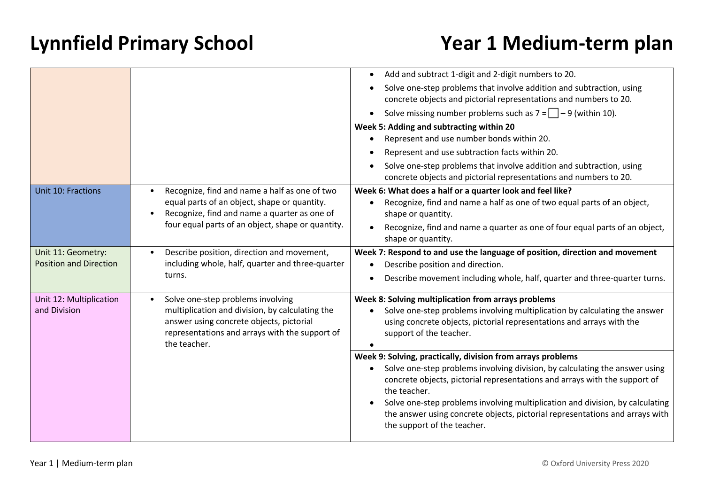|                               |                                                                                                                                                               | Add and subtract 1-digit and 2-digit numbers to 20.                                                                                                                                          |
|-------------------------------|---------------------------------------------------------------------------------------------------------------------------------------------------------------|----------------------------------------------------------------------------------------------------------------------------------------------------------------------------------------------|
|                               |                                                                                                                                                               | Solve one-step problems that involve addition and subtraction, using                                                                                                                         |
|                               |                                                                                                                                                               | concrete objects and pictorial representations and numbers to 20.                                                                                                                            |
|                               |                                                                                                                                                               | Solve missing number problems such as $7 = \square - 9$ (within 10).                                                                                                                         |
|                               |                                                                                                                                                               | Week 5: Adding and subtracting within 20                                                                                                                                                     |
|                               |                                                                                                                                                               | Represent and use number bonds within 20.                                                                                                                                                    |
|                               |                                                                                                                                                               | Represent and use subtraction facts within 20.                                                                                                                                               |
|                               |                                                                                                                                                               | Solve one-step problems that involve addition and subtraction, using                                                                                                                         |
|                               |                                                                                                                                                               | concrete objects and pictorial representations and numbers to 20.                                                                                                                            |
| Unit 10: Fractions            | Recognize, find and name a half as one of two                                                                                                                 | Week 6: What does a half or a quarter look and feel like?                                                                                                                                    |
|                               | equal parts of an object, shape or quantity.<br>Recognize, find and name a quarter as one of<br>$\bullet$                                                     | Recognize, find and name a half as one of two equal parts of an object,<br>shape or quantity.                                                                                                |
|                               | four equal parts of an object, shape or quantity.                                                                                                             | Recognize, find and name a quarter as one of four equal parts of an object,                                                                                                                  |
|                               |                                                                                                                                                               | shape or quantity.                                                                                                                                                                           |
| Unit 11: Geometry:            | Describe position, direction and movement,                                                                                                                    | Week 7: Respond to and use the language of position, direction and movement                                                                                                                  |
| <b>Position and Direction</b> | including whole, half, quarter and three-quarter                                                                                                              | Describe position and direction.                                                                                                                                                             |
|                               | turns.                                                                                                                                                        | Describe movement including whole, half, quarter and three-quarter turns.                                                                                                                    |
| Unit 12: Multiplication       | Solve one-step problems involving<br>$\bullet$                                                                                                                | Week 8: Solving multiplication from arrays problems                                                                                                                                          |
| and Division                  | multiplication and division, by calculating the<br>answer using concrete objects, pictorial<br>representations and arrays with the support of<br>the teacher. | Solve one-step problems involving multiplication by calculating the answer<br>using concrete objects, pictorial representations and arrays with the<br>support of the teacher.               |
|                               |                                                                                                                                                               | Week 9: Solving, practically, division from arrays problems                                                                                                                                  |
|                               |                                                                                                                                                               | Solve one-step problems involving division, by calculating the answer using<br>concrete objects, pictorial representations and arrays with the support of<br>the teacher.                    |
|                               |                                                                                                                                                               | Solve one-step problems involving multiplication and division, by calculating<br>the answer using concrete objects, pictorial representations and arrays with<br>the support of the teacher. |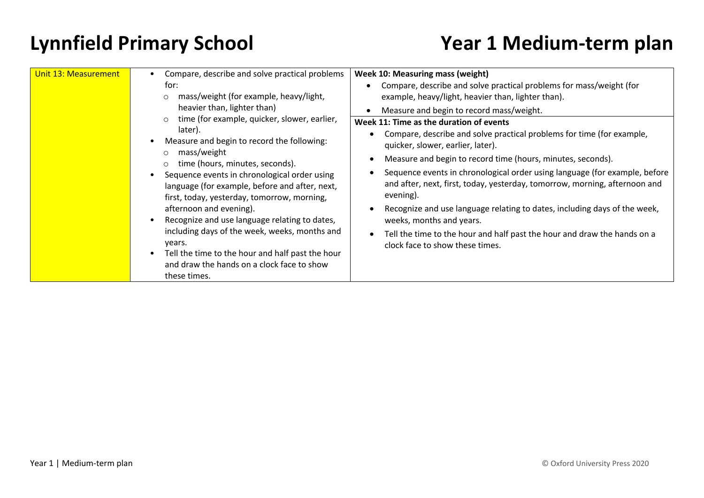| Unit 13: Measurement                                                                                                     | Compare, describe and solve practical problems<br>for:<br>mass/weight (for example, heavy/light,<br>$\circ$<br>heavier than, lighter than)<br>time (for example, quicker, slower, earlier,<br>$\circ$<br>later).<br>Measure and begin to record the following:<br>mass/weight<br>$\circ$<br>time (hours, minutes, seconds).<br>$\circ$<br>Sequence events in chronological order using<br>language (for example, before and after, next,<br>first, today, yesterday, tomorrow, morning,<br>afternoon and evening).<br>Recognize and use language relating to dates,<br>including days of the week, weeks, months and | <b>Week 10: Measuring mass (weight)</b><br>Compare, describe and solve practical problems for mass/weight (for<br>example, heavy/light, heavier than, lighter than).<br>Measure and begin to record mass/weight.<br>Week 11: Time as the duration of events<br>Compare, describe and solve practical problems for time (for example,<br>quicker, slower, earlier, later).<br>Measure and begin to record time (hours, minutes, seconds).<br>$\bullet$<br>Sequence events in chronological order using language (for example, before<br>and after, next, first, today, yesterday, tomorrow, morning, afternoon and<br>evening).<br>Recognize and use language relating to dates, including days of the week,<br>weeks, months and years.<br>Tell the time to the hour and half past the hour and draw the hands on a<br>$\bullet$ |
|--------------------------------------------------------------------------------------------------------------------------|----------------------------------------------------------------------------------------------------------------------------------------------------------------------------------------------------------------------------------------------------------------------------------------------------------------------------------------------------------------------------------------------------------------------------------------------------------------------------------------------------------------------------------------------------------------------------------------------------------------------|----------------------------------------------------------------------------------------------------------------------------------------------------------------------------------------------------------------------------------------------------------------------------------------------------------------------------------------------------------------------------------------------------------------------------------------------------------------------------------------------------------------------------------------------------------------------------------------------------------------------------------------------------------------------------------------------------------------------------------------------------------------------------------------------------------------------------------|
| years.<br>Tell the time to the hour and half past the hour<br>and draw the hands on a clock face to show<br>these times. | clock face to show these times.                                                                                                                                                                                                                                                                                                                                                                                                                                                                                                                                                                                      |                                                                                                                                                                                                                                                                                                                                                                                                                                                                                                                                                                                                                                                                                                                                                                                                                                  |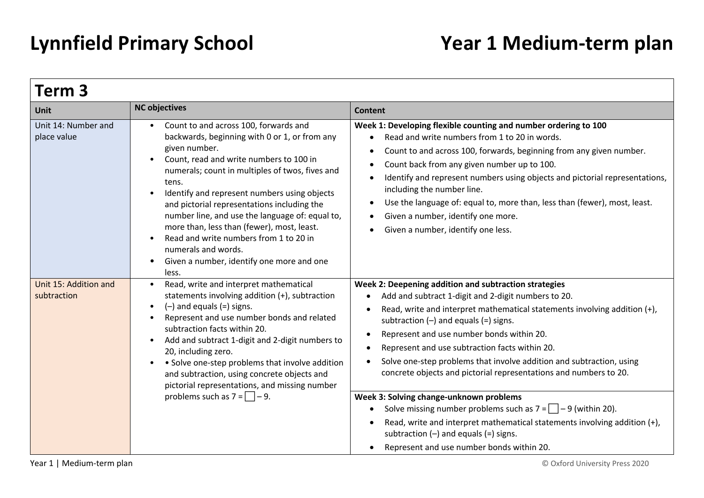| Term 3                               |                                                                                                                                                                                                                                                                                                                                                                                                                                                                                                                                       |                                                                                                                                                                                                                                                                                                                                                                                                                                                                                                                                                                                                                                                                                                                                                                                                            |  |
|--------------------------------------|---------------------------------------------------------------------------------------------------------------------------------------------------------------------------------------------------------------------------------------------------------------------------------------------------------------------------------------------------------------------------------------------------------------------------------------------------------------------------------------------------------------------------------------|------------------------------------------------------------------------------------------------------------------------------------------------------------------------------------------------------------------------------------------------------------------------------------------------------------------------------------------------------------------------------------------------------------------------------------------------------------------------------------------------------------------------------------------------------------------------------------------------------------------------------------------------------------------------------------------------------------------------------------------------------------------------------------------------------------|--|
| <b>Unit</b>                          | <b>NC objectives</b>                                                                                                                                                                                                                                                                                                                                                                                                                                                                                                                  | <b>Content</b>                                                                                                                                                                                                                                                                                                                                                                                                                                                                                                                                                                                                                                                                                                                                                                                             |  |
| Unit 14: Number and<br>place value   | Count to and across 100, forwards and<br>backwards, beginning with 0 or 1, or from any<br>given number.<br>Count, read and write numbers to 100 in<br>numerals; count in multiples of twos, fives and<br>tens.<br>Identify and represent numbers using objects<br>and pictorial representations including the<br>number line, and use the language of: equal to,<br>more than, less than (fewer), most, least.<br>Read and write numbers from 1 to 20 in<br>numerals and words.<br>Given a number, identify one more and one<br>less. | Week 1: Developing flexible counting and number ordering to 100<br>Read and write numbers from 1 to 20 in words.<br>Count to and across 100, forwards, beginning from any given number.<br>$\bullet$<br>Count back from any given number up to 100.<br>$\bullet$<br>Identify and represent numbers using objects and pictorial representations,<br>including the number line.<br>Use the language of: equal to, more than, less than (fewer), most, least.<br>$\bullet$<br>Given a number, identify one more.<br>Given a number, identify one less.                                                                                                                                                                                                                                                        |  |
| Unit 15: Addition and<br>subtraction | Read, write and interpret mathematical<br>statements involving addition (+), subtraction<br>$(-)$ and equals $(=)$ signs.<br>Represent and use number bonds and related<br>subtraction facts within 20.<br>Add and subtract 1-digit and 2-digit numbers to<br>20, including zero.<br>• Solve one-step problems that involve addition<br>and subtraction, using concrete objects and<br>pictorial representations, and missing number<br>problems such as $7 = \square - 9$ .                                                          | Week 2: Deepening addition and subtraction strategies<br>Add and subtract 1-digit and 2-digit numbers to 20.<br>Read, write and interpret mathematical statements involving addition (+),<br>$\bullet$<br>subtraction $(-)$ and equals $(=)$ signs.<br>Represent and use number bonds within 20.<br>Represent and use subtraction facts within 20.<br>Solve one-step problems that involve addition and subtraction, using<br>concrete objects and pictorial representations and numbers to 20.<br>Week 3: Solving change-unknown problems<br>Solve missing number problems such as $7 = -9$ (within 20).<br>$\bullet$<br>Read, write and interpret mathematical statements involving addition (+),<br>$\bullet$<br>subtraction $(-)$ and equals $(=)$ signs.<br>Represent and use number bonds within 20. |  |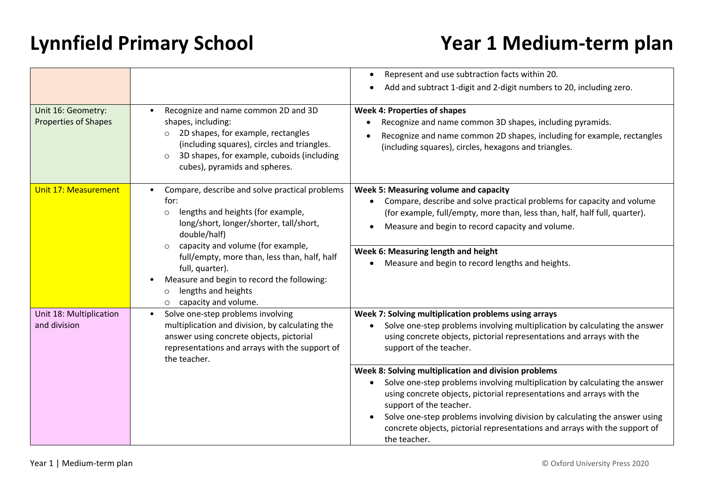|                                                                                                                                                                                                                                                                                                                                                         |                                                                                                                                                                                                                                                                  | Represent and use subtraction facts within 20.<br>$\bullet$                                                                                                                                                                                                                                                                                                                                                        |
|---------------------------------------------------------------------------------------------------------------------------------------------------------------------------------------------------------------------------------------------------------------------------------------------------------------------------------------------------------|------------------------------------------------------------------------------------------------------------------------------------------------------------------------------------------------------------------------------------------------------------------|--------------------------------------------------------------------------------------------------------------------------------------------------------------------------------------------------------------------------------------------------------------------------------------------------------------------------------------------------------------------------------------------------------------------|
|                                                                                                                                                                                                                                                                                                                                                         |                                                                                                                                                                                                                                                                  | Add and subtract 1-digit and 2-digit numbers to 20, including zero.                                                                                                                                                                                                                                                                                                                                                |
| Unit 16: Geometry:<br><b>Properties of Shapes</b>                                                                                                                                                                                                                                                                                                       | Recognize and name common 2D and 3D<br>$\bullet$<br>shapes, including:<br>2D shapes, for example, rectangles<br>$\circ$<br>(including squares), circles and triangles.<br>3D shapes, for example, cuboids (including<br>$\circ$<br>cubes), pyramids and spheres. | <b>Week 4: Properties of shapes</b><br>Recognize and name common 3D shapes, including pyramids.<br>٠<br>Recognize and name common 2D shapes, including for example, rectangles<br>(including squares), circles, hexagons and triangles.                                                                                                                                                                            |
| Unit 17: Measurement<br>for:<br>lengths and heights (for example,<br>$\circ$<br>long/short, longer/shorter, tall/short,<br>double/half)<br>capacity and volume (for example,<br>$\circ$<br>full/empty, more than, less than, half, half<br>full, quarter).<br>Measure and begin to record the following:<br>$\bullet$<br>lengths and heights<br>$\circ$ | Compare, describe and solve practical problems                                                                                                                                                                                                                   | Week 5: Measuring volume and capacity<br>Compare, describe and solve practical problems for capacity and volume<br>(for example, full/empty, more than, less than, half, half full, quarter).<br>Measure and begin to record capacity and volume.                                                                                                                                                                  |
|                                                                                                                                                                                                                                                                                                                                                         | capacity and volume.<br>$\circ$                                                                                                                                                                                                                                  | Week 6: Measuring length and height<br>Measure and begin to record lengths and heights.                                                                                                                                                                                                                                                                                                                            |
| Unit 18: Multiplication<br>and division                                                                                                                                                                                                                                                                                                                 | Solve one-step problems involving<br>$\bullet$<br>multiplication and division, by calculating the<br>answer using concrete objects, pictorial<br>representations and arrays with the support of<br>the teacher.                                                  | Week 7: Solving multiplication problems using arrays<br>Solve one-step problems involving multiplication by calculating the answer<br>using concrete objects, pictorial representations and arrays with the<br>support of the teacher.                                                                                                                                                                             |
|                                                                                                                                                                                                                                                                                                                                                         |                                                                                                                                                                                                                                                                  | Week 8: Solving multiplication and division problems<br>Solve one-step problems involving multiplication by calculating the answer<br>using concrete objects, pictorial representations and arrays with the<br>support of the teacher.<br>Solve one-step problems involving division by calculating the answer using<br>concrete objects, pictorial representations and arrays with the support of<br>the teacher. |